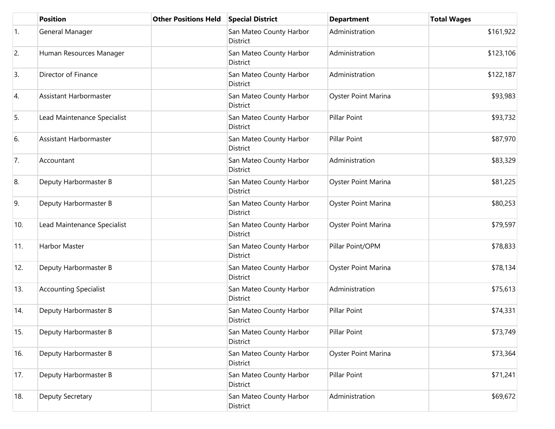|                  | <b>Position</b>              | <b>Other Positions Held</b> | <b>Special District</b>             | <b>Department</b>   | <b>Total Wages</b> |
|------------------|------------------------------|-----------------------------|-------------------------------------|---------------------|--------------------|
| $\overline{1}$ . | General Manager              |                             | San Mateo County Harbor<br>District | Administration      | \$161,922          |
| 2.               | Human Resources Manager      |                             | San Mateo County Harbor<br>District | Administration      | \$123,106          |
| 3.               | Director of Finance          |                             | San Mateo County Harbor<br>District | Administration      | \$122,187          |
| 4.               | Assistant Harbormaster       |                             | San Mateo County Harbor<br>District | Oyster Point Marina | \$93,983           |
| 5.               | Lead Maintenance Specialist  |                             | San Mateo County Harbor<br>District | Pillar Point        | \$93,732           |
| 6.               | Assistant Harbormaster       |                             | San Mateo County Harbor<br>District | Pillar Point        | \$87,970           |
| 7.               | Accountant                   |                             | San Mateo County Harbor<br>District | Administration      | \$83,329           |
| 8.               | Deputy Harbormaster B        |                             | San Mateo County Harbor<br>District | Oyster Point Marina | \$81,225           |
| 9.               | Deputy Harbormaster B        |                             | San Mateo County Harbor<br>District | Oyster Point Marina | \$80,253           |
| 10.              | Lead Maintenance Specialist  |                             | San Mateo County Harbor<br>District | Oyster Point Marina | \$79,597           |
| 11.              | <b>Harbor Master</b>         |                             | San Mateo County Harbor<br>District | Pillar Point/OPM    | \$78,833           |
| 12.              | Deputy Harbormaster B        |                             | San Mateo County Harbor<br>District | Oyster Point Marina | \$78,134           |
| 13.              | <b>Accounting Specialist</b> |                             | San Mateo County Harbor<br>District | Administration      | \$75,613           |
| 14.              | Deputy Harbormaster B        |                             | San Mateo County Harbor<br>District | Pillar Point        | \$74,331           |
| 15.              | Deputy Harbormaster B        |                             | San Mateo County Harbor<br>District | Pillar Point        | \$73,749           |
| 16.              | Deputy Harbormaster B        |                             | San Mateo County Harbor<br>District | Oyster Point Marina | \$73,364           |
| 17.              | Deputy Harbormaster B        |                             | San Mateo County Harbor<br>District | Pillar Point        | \$71,241           |
| 18.              | Deputy Secretary             |                             | San Mateo County Harbor<br>District | Administration      | \$69,672           |